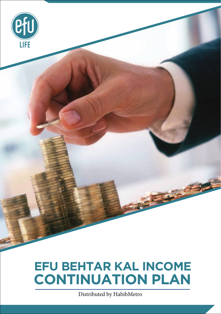

# **EFU BEHTAR KAL INCOME CONTINUATION PLAN**

Distributed by HabibMetro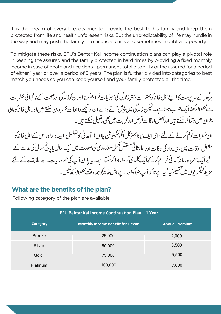It is the dream of every breadwinner to provide the best to his family and keep them protected from life and health unforeseen risks. But the unpredictability of life may hurdle in the way and may push the family into financial crisis and sometimes in debt and poverty.

To mitigate these risks, EFU's Behtar Kal income continuation plans can play a pivotal role in keeping the assured and the family protected in hard times by providing a fixed monthly income in case of death and accidental permanent total disability of the assured for a period of either 1 year or over a period of 5 years. The plan is further divided into categories to best match you needs so you can keep yourself and your family protected all the time.

ہرگھر کےسر برست کااپنےاہل خانہ کو بہتر سے بہتر زندگی کی سہولیات فراہم کرنااوران کوزندگی اورصحت کے نا گہانی خطرات سےمحفوظ رکھناایک خواب ہوتا ہے۔لیکن زندگی میں پیش آنے وابے ان دیکھےواقعات خطرہ بن سکتے ہیںاوراہل خانہ کو مالی بحران میں مبتلا کر سکتے ہیں اوربعض اوقات قرض اورغربت میں بھی دھکیل سکتے ہیں۔ ان خطرات کو کم کرنے کے لئے ،ای ایف یوکا بہترکل انکم کنٹینیوشن پلان ( آمدنی کاتسلسل ) بیمہ داراوراس کےاہل خانہ کو

مشکل اوقات میں، بیمہ دارکی وفات اور حادثاتی مستقل کمل معذوری کیصورت میں ایک سال پایانچ سال کی مدت کے لئے ایک مقررہ ماہانہآ مدنی فراہم کرکےایک کلیدی کر دارادا کرسکتا ہے۔ یہ پلان آپ کی ضروریات سے مطابقت کے لئے مزيدَ كيبْكَر بوں ميں تقسيم کيا گيا ہے تا کہ آپ خودکواورا پنے اہل خانہ کو ہمہ وقت محفوظ رکھ تکيس۔

## **What are the benefits of the plan?**

Following category of the plan are available:

| EFU Behtar Kal Income Continuation Plan - 1 Year |                                   |                       |  |
|--------------------------------------------------|-----------------------------------|-----------------------|--|
| <b>Category</b>                                  | Monthly Income Benefit for 1 Year | <b>Annual Premium</b> |  |
| <b>Bronze</b>                                    | 25,000                            | 2,000                 |  |
| Silver                                           | 50,000                            | 3,500                 |  |
| Gold                                             | 75,000                            | 5,500                 |  |
| Platinum                                         | 100,000                           | 7,000                 |  |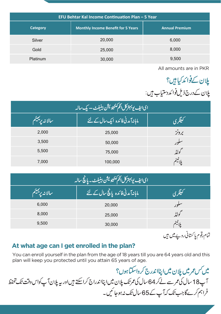| EFU Behtar Kal Income Continuation Plan - 5 Year |                                           |                       |  |
|--------------------------------------------------|-------------------------------------------|-----------------------|--|
| Category                                         | <b>Monthly Income Benefit for 5 Years</b> | <b>Annual Premium</b> |  |
| Silver                                           | 20,000                                    | 6,000                 |  |
| Gold                                             | 25,000                                    | 8,000                 |  |
| Platinum                                         | 30,000                                    | 9,500                 |  |

All amounts are in PKR

یلان کےفوائد کیا ہیں؟ یلان کے درج ذیل فوائد دستیاب ہیں:

| <u>ای ایف یو بہترکل انکم کنٹینویشن بینیفٹ – یک سالہ  </u> |                                                 |        |  |
|-----------------------------------------------------------|-------------------------------------------------|--------|--|
| سالا نەرپەييىم                                            | <mark>اماہانہ آمدنی فائدہ ایک سال کے لئے</mark> | ليفكري |  |
| 2,000                                                     | 25,000                                          | بردنز  |  |
| 3,500                                                     | 50,000                                          |        |  |
| 5,500                                                     | 75,000                                          | لولڈ   |  |
| 7,000                                                     | 100,000                                         |        |  |

| <br>  <sub>لى ال</sub> ِف يوبهتركل أنكم كنثي <sub>ن</sub> ويشن بينيف <sub>ٹ -</sub> پانچ سالہ |                                   |        |  |
|-----------------------------------------------------------------------------------------------|-----------------------------------|--------|--|
| سالا نەرىپىيىم                                                                                | ماہانہآمدنی فائدہ یالچ سال کے لئے | ليطرى  |  |
| 6,000                                                                                         | 20,000                            |        |  |
| 8,000                                                                                         | 25,000                            | لولڈ   |  |
| 9,500                                                                                         | 30,000                            | ملا پا |  |
|                                                                                               |                                   |        |  |

تمام رقوم پا کستانی روپے میں ہیں

## **At what age can I get enrolled in the plan?**

You can enroll yourself in the plan from the age of 18 years till you are 64 years old and this plan will keep you protected until you attain 65 years of age.

میں *کس عم*ر میں پلان میں اپناا ندرج کر داسکتا ہوں؟ آپ18 سال کی عمرسے لےکر64 سال کی عمرتک پلان میں اپنااندراج کراسکتے میں اور پہ پلان آپ کواس وقت تک تحفظ فراہم کرےگا جب تک کہآپ کے65سال تک نہ ہوجا ئیں۔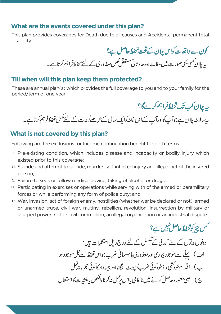## **What are the events covered under this plan?**

This plan provides coverages for Death due to all causes and Accidental permanent total disability.

کون سےواقعات کواس پلان کےتحت تحفظ حاصل ہے؟ پہ پلان سی بھیصورت میں وفات اور حاد ثاتی مستقل مکمل معذ وری کے لئے تحفظ فراہم کرتا ہے۔

#### **Till when will this plan keep them protected?**

These are annual plan(s) which provides the full coverage to you and to your family for the period/term of one year.

ىيەپلان كې تك تحفظ فراہم كرےگا؟ ىيە بىلانىە پلان ہے جوآپ كواورآپ كےاہل خانەكوايك سال *كے عرصے ل*ىدت كے لئے مكمل تحفظ فرہم كرتا ہے ۔

### **What is not covered by this plan?**

Following are the exclusions for Income continuation benefit for both terms:

- a. Pre-existing condition, which includes disease and incapacity or bodily injury which existed prior to this coverage;
- b. Suicide and attempt to suicide, murder, self-inflicted injury and illegal act of the insured person;
- c. Failure to seek or follow medical advice, taking of alcohol or drugs;
- d. Participating in exercises or operations while serving with of the armed or paramilitary forces or while performing any form of police duty; and
- e. War, invasion, act of foreign enemy, hostilities (whether war be declared or not), armed or unarmed truce, civil war, mutiny, rebellion, revolution, insurrection by military or usurped power, riot or civil commotion, an illegal organization or an industrial dispute.

حمس چ<sub>ی</sub>ز کو تحفظ حاصل تہیں ہے؟

دونوں مدتوں کے لئےآ مدنی کےتسلسل کے لئے درج ذیل استثنایات ہیں: الف ) پہلے سےموجود بپاریااورمعذوری پاجسمانی ضرب جواس تحفظ سےقبل موجودہو ب) اقدام خودڭنى،ازخودكوئى ضرب/چوٹ لگانااور بېمەداركا كوئى مجرمانىۋىل ج ) گلجی مشورہ حاصل کرنے میں نا کا می پااس بڑ کس نہ کرنا،الکحل پامنشات کااستعمال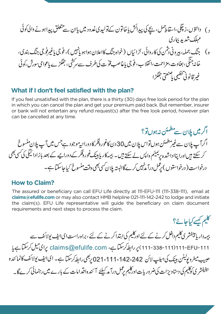د ) دانتوں،زیچگی،اسقاطِ<sup>حمل ،</sup> بچے کی پیدائش یاخاتون کےنولیدی غدود میں پاان سے تتعلق پیداہونے والی کوئی مهلک شدید بیماری ه ) جنگ جمله، بیرونی دَتْمن کی کاروائی، لڑائیاں ( خواہ جنگ کااعلان ہواہو پانہیں )، فوجی پاغیرفوجی جنگ بندی، خانہ جنگی، بغاوت، مزاحمت،انقلاب، فوجی پاغاصب قوّ ت کی طرف سے سرکشی، جھکڑے پاعوا می سورش،کوئی غيرقانوني تنظيمي اصنعتي جھكڑا

#### **What if I don't feel satisfied with the plan?**

If you feel unsatisfied with the plan, there is a thirty (30) days free look period for the plan in which you can cancel the plan and get your premium paid back. But remember, insurer or bank will not entertain any refund request(s) after the free look period, however plan can be cancelled at any time.

اگرمیں پلان سے مطمئن نہ ہوں تو؟ اگرآپ پلان سے غیرمطمئن ہوں تواس پلان میں 30 دن کاغور دفکر کا دورانیہ موجود ہے جس میں آپ پلان منسوخ کر سکتے میں اورا پنااداشدہ پر<sup>یمیئ</sup>م واپس لے سکتے ہیں۔ بیمہ کاریا بینک *غور وفکر کے دورا* ہے کے بعد بازادا ٹیگی کی سی بھی درخواست ( درخواستوں ) پڑ مل درآ مذہبیں کرےگاالبتہ پلان کسی بھی وقت منسوخ کیاجاسکتا ہے۔

#### **How to Claim?**

The assured or beneficiary can call EFU Life directly at 111-EFU-111 (111-338-111), email at **claims@efulife.com** or may also contact HMB helpline 021-111-142-242 to lodge and initiate the claim(s). EFU Life representative will guide the beneficiary on claim document requirements and next steps to process the claim.

کلیم کیسے کیاجائے؟

یپر دار پامپنفشری کلیم داخل کرنے کے لئے اورکلیم کی ابتدا کرنے کے لئے ، براہ راست ای ایف یولائف سے claims@efulife.com ،پر دابطہ کرسکتاہے، claims@efulife.com پرای میل کرسکتاہے یا حبیب میٹروپولیٹن بینک کی ہیلپ لائن 242-142-111-021 یرجھی رابطہ کرسکتا ہے۔ ای ایف یولائف کانمائند ہ پینیفشری کوکلیم کی دستاویزات کی ضرور بات اورکلیم ریمل درآ مد کیلئے آئندہ اقد امات کے بارے میں رہنمائی کرے گا۔